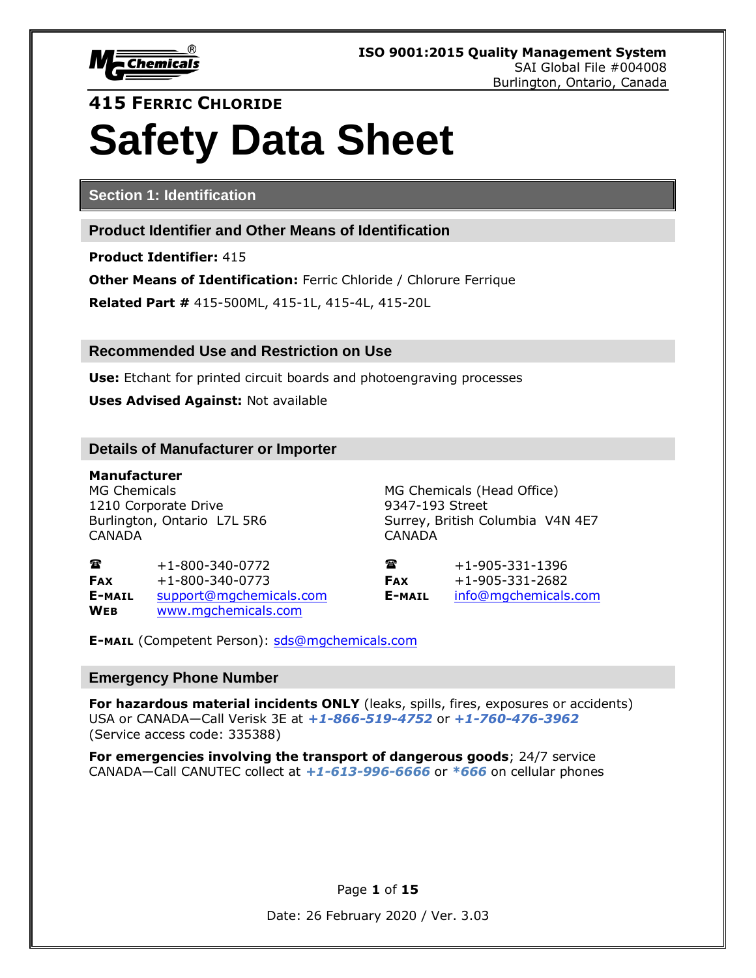

# **415 FERRIC CHLORIDE Safety Data Sheet**

**Section 1: Identification**

**Product Identifier and Other Means of Identification**

**Product Identifier:** 415

**Other Means of Identification:** Ferric Chloride / Chlorure Ferrique

**Related Part #** 415-500ML, 415-1L, 415-4L, 415-20L

**Recommended Use and Restriction on Use**

**Use:** Etchant for printed circuit boards and photoengraving processes

**Uses Advised Against:** Not available

#### **Details of Manufacturer or Importer**

**Manufacturer** MG Chemicals MG Chemicals (Head Office) 1210 Corporate Drive 9347-193 Street CANADA CANADA

Burlington, Ontario L7L 5R6 Surrey, British Columbia V4N 4E7

 $\bullet$  +1-800-340-0772  $\bullet$   $\bullet$  +1-905-331-1396 **FAX** +1-800-340-0773 **FAX** +1-905-331-2682 **E-MAIL** [support@mgchemicals.com](mailto:support@mgchemicals.com) **E-MAIL** [info@mgchemicals.com](mailto:info@mgchemicals.com) **WEB** [www.mgchemicals.com](http://www.mgchemicals.com/)

**E-MAIL** (Competent Person): [sds@mgchemicals.com](mailto:sds@mgchemicals.com)

#### **Emergency Phone Number**

For hazardous material incidents ONLY (leaks, spills, fires, exposures or accidents) USA or CANADA—Call Verisk 3E at *+1-866-519-4752* or *+1-760-476-3962*  (Service access code: 335388)

**For emergencies involving the transport of dangerous goods**; 24/7 service CANADA—Call CANUTEC collect at *+1-613-996-6666* or *\*666* on cellular phones

Page **1** of **15**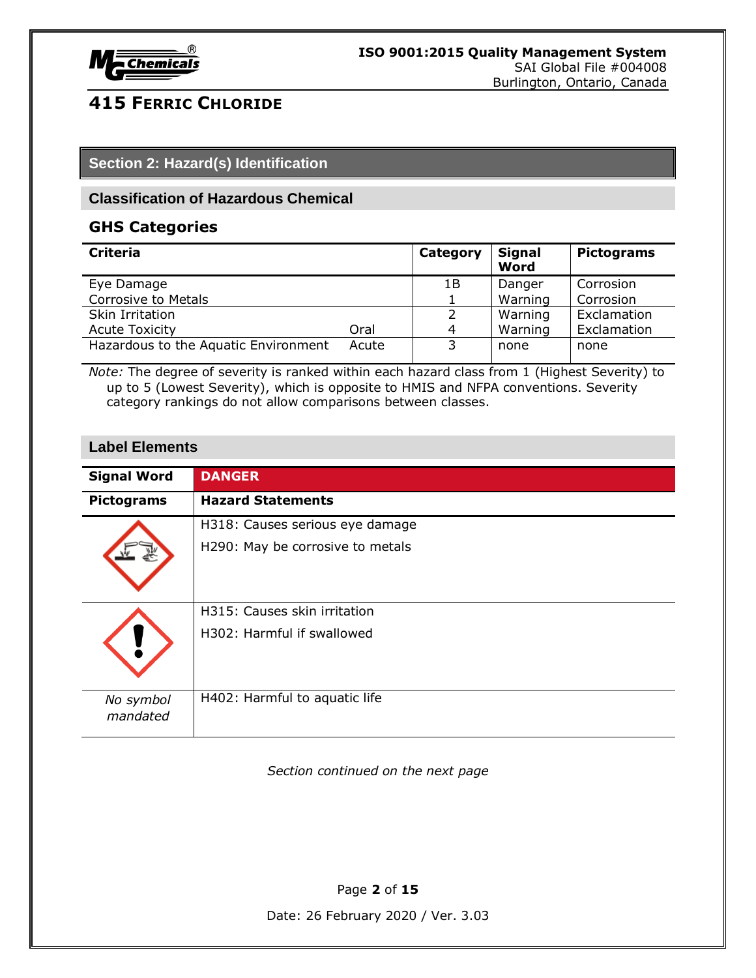

#### **Section 2: Hazard(s) Identification**

#### **Classification of Hazardous Chemical**

#### **GHS Categories**

| <b>Criteria</b>                      |       | Category | <b>Signal</b><br>Word | <b>Pictograms</b> |
|--------------------------------------|-------|----------|-----------------------|-------------------|
| Eye Damage                           |       | 1Β       | Danger                | Corrosion         |
| Corrosive to Metals                  |       |          | Warning               | Corrosion         |
| Skin Irritation                      |       |          | Warning               | Exclamation       |
| <b>Acute Toxicity</b>                | Oral  | 4        | Warning               | Exclamation       |
| Hazardous to the Aquatic Environment | Acute | 3        | none                  | none              |

*Note:* The degree of severity is ranked within each hazard class from 1 (Highest Severity) to up to 5 (Lowest Severity), which is opposite to HMIS and NFPA conventions. Severity category rankings do not allow comparisons between classes.

#### **Label Elements**

| <b>Signal Word</b>    | <b>DANGER</b>                    |
|-----------------------|----------------------------------|
| <b>Pictograms</b>     | <b>Hazard Statements</b>         |
|                       | H318: Causes serious eye damage  |
|                       | H290: May be corrosive to metals |
|                       | H315: Causes skin irritation     |
|                       | H302: Harmful if swallowed       |
| No symbol<br>mandated | H402: Harmful to aquatic life    |

*Section continued on the next page*

Page **2** of **15**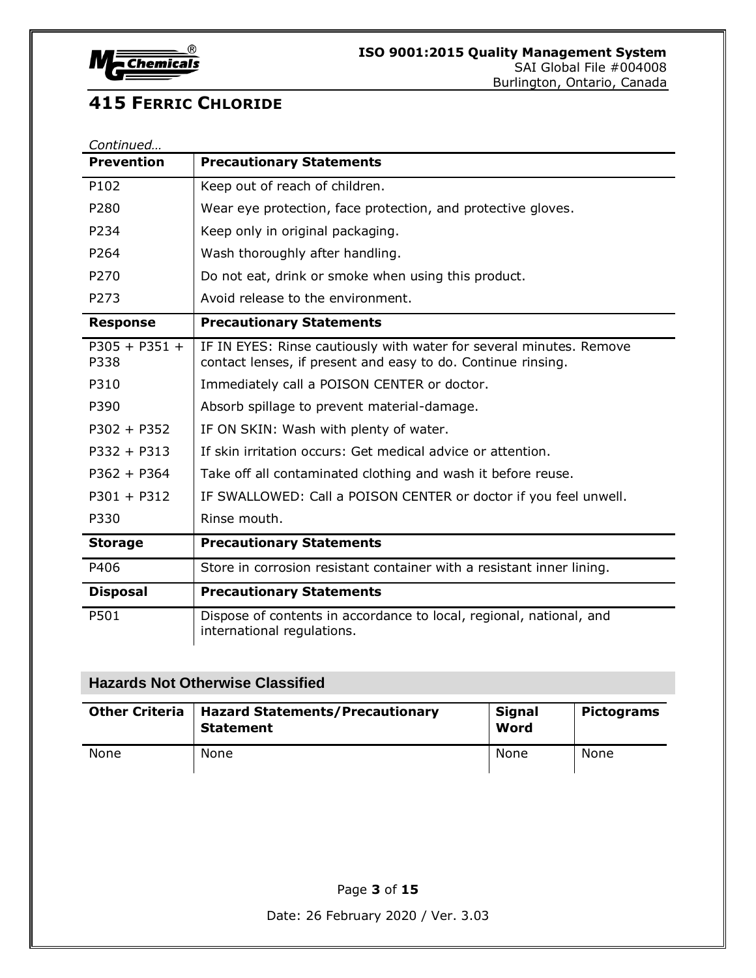

| Continued               |                                                                                                                                     |
|-------------------------|-------------------------------------------------------------------------------------------------------------------------------------|
| <b>Prevention</b>       | <b>Precautionary Statements</b>                                                                                                     |
| P102                    | Keep out of reach of children.                                                                                                      |
| P280                    | Wear eye protection, face protection, and protective gloves.                                                                        |
| P234                    | Keep only in original packaging.                                                                                                    |
| P264                    | Wash thoroughly after handling.                                                                                                     |
| P270                    | Do not eat, drink or smoke when using this product.                                                                                 |
| P273                    | Avoid release to the environment.                                                                                                   |
| <b>Response</b>         | <b>Precautionary Statements</b>                                                                                                     |
| $P305 + P351 +$<br>P338 | IF IN EYES: Rinse cautiously with water for several minutes. Remove<br>contact lenses, if present and easy to do. Continue rinsing. |
| P310                    | Immediately call a POISON CENTER or doctor.                                                                                         |
| P390                    | Absorb spillage to prevent material-damage.                                                                                         |
| $P302 + P352$           | IF ON SKIN: Wash with plenty of water.                                                                                              |
| $P332 + P313$           | If skin irritation occurs: Get medical advice or attention.                                                                         |
| $P362 + P364$           | Take off all contaminated clothing and wash it before reuse.                                                                        |
| $P301 + P312$           | IF SWALLOWED: Call a POISON CENTER or doctor if you feel unwell.                                                                    |
| P330                    | Rinse mouth.                                                                                                                        |
| <b>Storage</b>          | <b>Precautionary Statements</b>                                                                                                     |
| P406                    | Store in corrosion resistant container with a resistant inner lining.                                                               |
| <b>Disposal</b>         | <b>Precautionary Statements</b>                                                                                                     |
| P501                    | Dispose of contents in accordance to local, regional, national, and<br>international regulations.                                   |

### **Hazards Not Otherwise Classified**

| <b>Other Criteria</b> | <b>Hazard Statements/Precautionary</b><br><b>Statement</b> | <b>Signal</b><br>Word | <b>Pictograms</b> |
|-----------------------|------------------------------------------------------------|-----------------------|-------------------|
| None                  | None                                                       | None                  | None              |

Page **3** of **15**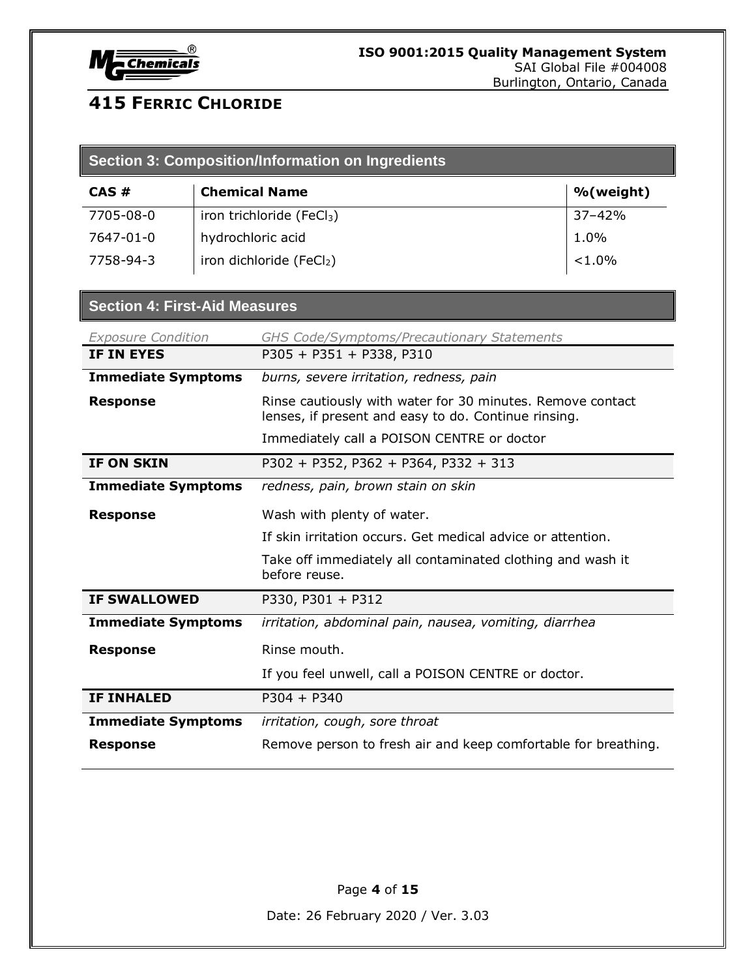

| Section 3: Composition/Information on Ingredients |                                       |            |  |
|---------------------------------------------------|---------------------------------------|------------|--|
| CAS#                                              | <b>Chemical Name</b>                  | %(weight)  |  |
| 7705-08-0                                         | iron trichloride (FeCl <sub>3</sub> ) | $37 - 42%$ |  |
| 7647-01-0                                         | hydrochloric acid                     | 1.0%       |  |
| 7758-94-3                                         | iron dichloride (FeCl2)               | $< 1.0\%$  |  |

#### **Section 4: First-Aid Measures**

| <b>Exposure Condition</b> | <b>GHS Code/Symptoms/Precautionary Statements</b>                                                                  |
|---------------------------|--------------------------------------------------------------------------------------------------------------------|
| <b>IF IN EYES</b>         | P305 + P351 + P338, P310                                                                                           |
| <b>Immediate Symptoms</b> | burns, severe irritation, redness, pain                                                                            |
| <b>Response</b>           | Rinse cautiously with water for 30 minutes. Remove contact<br>lenses, if present and easy to do. Continue rinsing. |
|                           | Immediately call a POISON CENTRE or doctor                                                                         |
| <b>IF ON SKIN</b>         | P302 + P352, P362 + P364, P332 + 313                                                                               |
| <b>Immediate Symptoms</b> | redness, pain, brown stain on skin                                                                                 |
| <b>Response</b>           | Wash with plenty of water.                                                                                         |
|                           | If skin irritation occurs. Get medical advice or attention.                                                        |
|                           | Take off immediately all contaminated clothing and wash it<br>before reuse.                                        |
| <b>IF SWALLOWED</b>       | P330, P301 + P312                                                                                                  |
| <b>Immediate Symptoms</b> | irritation, abdominal pain, nausea, vomiting, diarrhea                                                             |
| <b>Response</b>           | Rinse mouth.                                                                                                       |
|                           | If you feel unwell, call a POISON CENTRE or doctor.                                                                |
| <b>IF INHALED</b>         | $P304 + P340$                                                                                                      |
| <b>Immediate Symptoms</b> | irritation, cough, sore throat                                                                                     |
| <b>Response</b>           | Remove person to fresh air and keep comfortable for breathing.                                                     |

Page **4** of **15**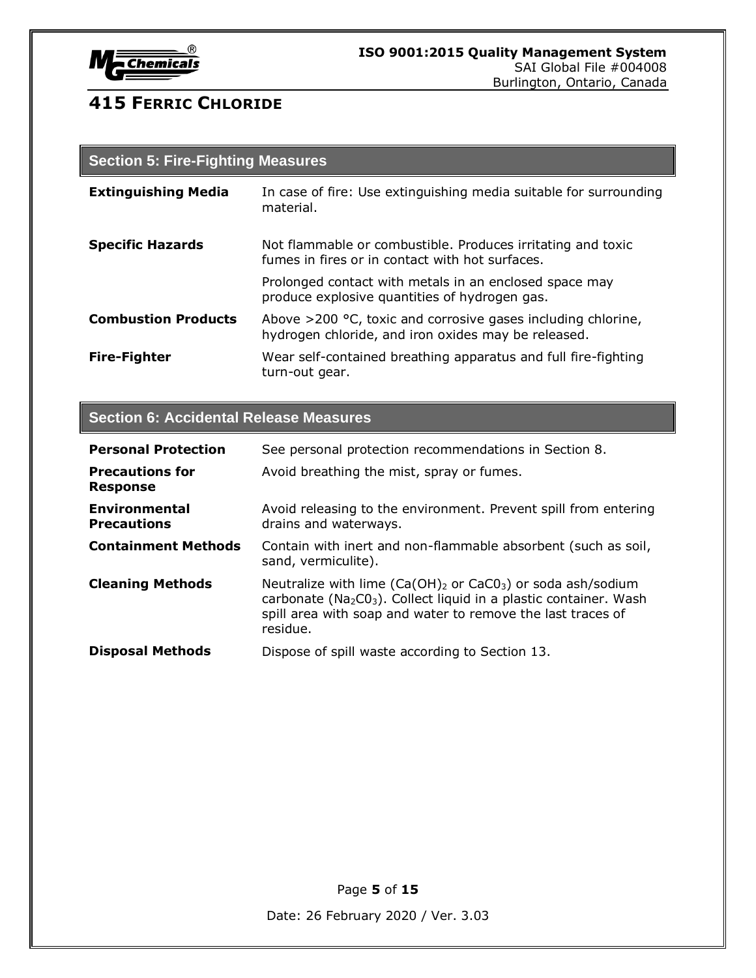

| <b>Section 5: Fire-Fighting Measures</b> |                                                                                                                        |  |
|------------------------------------------|------------------------------------------------------------------------------------------------------------------------|--|
| <b>Extinguishing Media</b>               | In case of fire: Use extinguishing media suitable for surrounding<br>material.                                         |  |
| <b>Specific Hazards</b>                  | Not flammable or combustible. Produces irritating and toxic<br>fumes in fires or in contact with hot surfaces.         |  |
|                                          | Prolonged contact with metals in an enclosed space may<br>produce explosive quantities of hydrogen gas.                |  |
| <b>Combustion Products</b>               | Above $>$ 200 °C, toxic and corrosive gases including chlorine,<br>hydrogen chloride, and iron oxides may be released. |  |
| <b>Fire-Fighter</b>                      | Wear self-contained breathing apparatus and full fire-fighting<br>turn-out gear.                                       |  |

### **Section 6: Accidental Release Measures**

| <b>Personal Protection</b>                | See personal protection recommendations in Section 8.                                                                                                                                                                                     |
|-------------------------------------------|-------------------------------------------------------------------------------------------------------------------------------------------------------------------------------------------------------------------------------------------|
| <b>Precautions for</b><br><b>Response</b> | Avoid breathing the mist, spray or fumes.                                                                                                                                                                                                 |
| Environmental<br><b>Precautions</b>       | Avoid releasing to the environment. Prevent spill from entering<br>drains and waterways.                                                                                                                                                  |
| <b>Containment Methods</b>                | Contain with inert and non-flammable absorbent (such as soil,<br>sand, vermiculite).                                                                                                                                                      |
| <b>Cleaning Methods</b>                   | Neutralize with lime $(Ca(OH)_2$ or $CaCO_3$ ) or soda ash/sodium<br>carbonate (Na <sub>2</sub> CO <sub>3</sub> ). Collect liquid in a plastic container. Wash<br>spill area with soap and water to remove the last traces of<br>residue. |
| <b>Disposal Methods</b>                   | Dispose of spill waste according to Section 13.                                                                                                                                                                                           |

Page **5** of **15**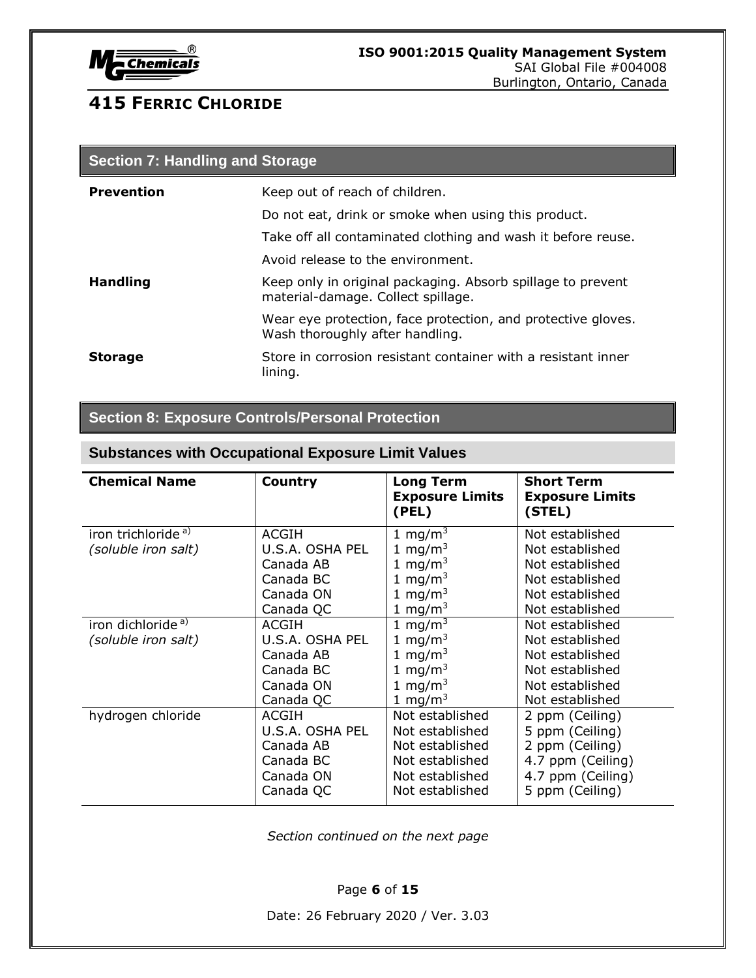

| <b>Section 7: Handling and Storage</b> |                                                                                                   |  |
|----------------------------------------|---------------------------------------------------------------------------------------------------|--|
| <b>Prevention</b>                      | Keep out of reach of children.                                                                    |  |
|                                        | Do not eat, drink or smoke when using this product.                                               |  |
|                                        | Take off all contaminated clothing and wash it before reuse.                                      |  |
|                                        | Avoid release to the environment.                                                                 |  |
| <b>Handling</b>                        | Keep only in original packaging. Absorb spillage to prevent<br>material-damage. Collect spillage. |  |
|                                        | Wear eye protection, face protection, and protective gloves.<br>Wash thoroughly after handling.   |  |
| <b>Storage</b>                         | Store in corrosion resistant container with a resistant inner<br>lining.                          |  |

### **Section 8: Exposure Controls/Personal Protection**

### **Substances with Occupational Exposure Limit Values**

| <b>Chemical Name</b>                                  | Country                                                                             | <b>Long Term</b><br><b>Exposure Limits</b><br>(PEL)                                                                                    | <b>Short Term</b><br><b>Exposure Limits</b><br>(STEL)                                                              |
|-------------------------------------------------------|-------------------------------------------------------------------------------------|----------------------------------------------------------------------------------------------------------------------------------------|--------------------------------------------------------------------------------------------------------------------|
| iron trichloride <sup>a)</sup><br>(soluble iron salt) | ACGIH<br>U.S.A. OSHA PEL<br>Canada AB<br>Canada BC<br>Canada ON<br>Canada QC        | 1 mg/m <sup>3</sup><br>1 mg/m <sup>3</sup><br>1 mg/m <sup>3</sup><br>1 mg/m <sup>3</sup><br>1 mg/m <sup>3</sup><br>1 mg/m $3$          | Not established<br>Not established<br>Not established<br>Not established<br>Not established<br>Not established     |
| iron dichloride <sup>a)</sup><br>(soluble iron salt)  | <b>ACGIH</b><br>U.S.A. OSHA PEL<br>Canada AB<br>Canada BC<br>Canada ON<br>Canada QC | 1 mg/m <sup>3</sup><br>1 mg/m <sup>3</sup><br>1 mg/m <sup>3</sup><br>1 mg/m <sup>3</sup><br>1 mg/m <sup>3</sup><br>1 mg/m <sup>3</sup> | Not established<br>Not established<br>Not established<br>Not established<br>Not established<br>Not established     |
| hydrogen chloride                                     | ACGIH<br>U.S.A. OSHA PEL<br>Canada AB<br>Canada BC<br>Canada ON<br>Canada QC        | Not established<br>Not established<br>Not established<br>Not established<br>Not established<br>Not established                         | 2 ppm (Ceiling)<br>5 ppm (Ceiling)<br>2 ppm (Ceiling)<br>4.7 ppm (Ceiling)<br>4.7 ppm (Ceiling)<br>5 ppm (Ceiling) |

*Section continued on the next page*

Page **6** of **15**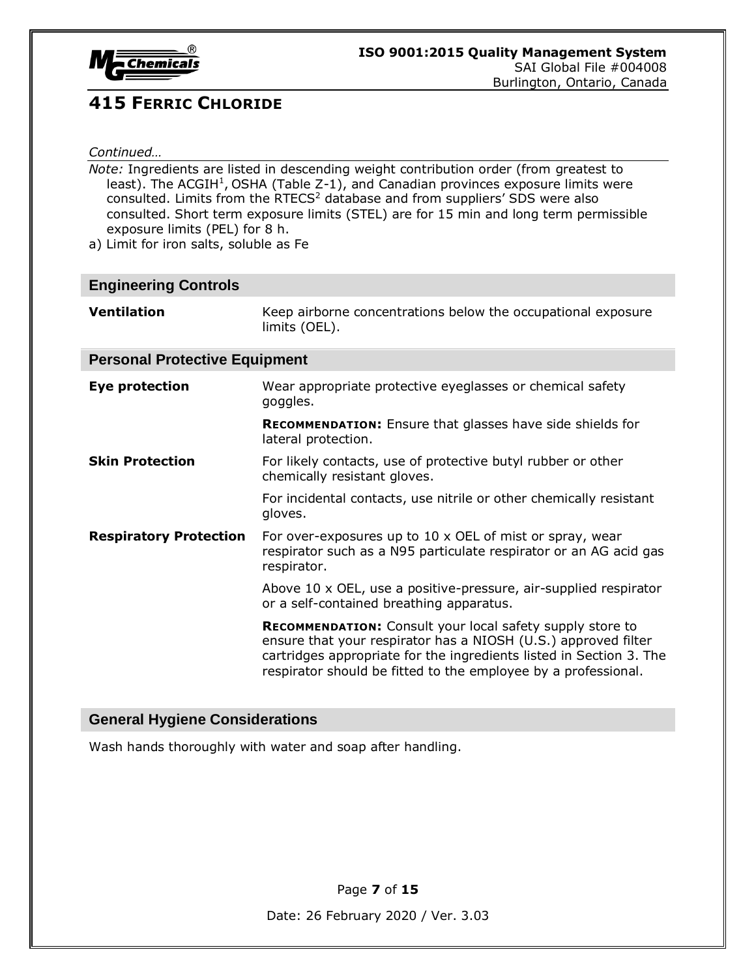

#### *Continued…*

*Note:* Ingredients are listed in descending weight contribution order (from greatest to least). The ACGIH<sup>1</sup>, OSHA (Table  $Z-1$ ), and Canadian provinces exposure limits were consulted. Limits from the RTECS<sup>2</sup> database and from suppliers' SDS were also consulted. Short term exposure limits (STEL) are for 15 min and long term permissible exposure limits (PEL) for 8 h.

a) Limit for iron salts, soluble as Fe

| <b>Engineering Controls</b>          |                                                                                                                                                                                                                                                                             |  |
|--------------------------------------|-----------------------------------------------------------------------------------------------------------------------------------------------------------------------------------------------------------------------------------------------------------------------------|--|
| <b>Ventilation</b>                   | Keep airborne concentrations below the occupational exposure<br>limits (OEL).                                                                                                                                                                                               |  |
| <b>Personal Protective Equipment</b> |                                                                                                                                                                                                                                                                             |  |
| Eye protection                       | Wear appropriate protective eyeglasses or chemical safety<br>goggles.                                                                                                                                                                                                       |  |
|                                      | <b>RECOMMENDATION:</b> Ensure that glasses have side shields for<br>lateral protection.                                                                                                                                                                                     |  |
| <b>Skin Protection</b>               | For likely contacts, use of protective butyl rubber or other<br>chemically resistant gloves.                                                                                                                                                                                |  |
|                                      | For incidental contacts, use nitrile or other chemically resistant<br>gloves.                                                                                                                                                                                               |  |
| <b>Respiratory Protection</b>        | For over-exposures up to 10 x OEL of mist or spray, wear<br>respirator such as a N95 particulate respirator or an AG acid gas<br>respirator.                                                                                                                                |  |
|                                      | Above 10 x OEL, use a positive-pressure, air-supplied respirator<br>or a self-contained breathing apparatus.                                                                                                                                                                |  |
|                                      | <b>RECOMMENDATION:</b> Consult your local safety supply store to<br>ensure that your respirator has a NIOSH (U.S.) approved filter<br>cartridges appropriate for the ingredients listed in Section 3. The<br>respirator should be fitted to the employee by a professional. |  |

#### **General Hygiene Considerations**

Wash hands thoroughly with water and soap after handling.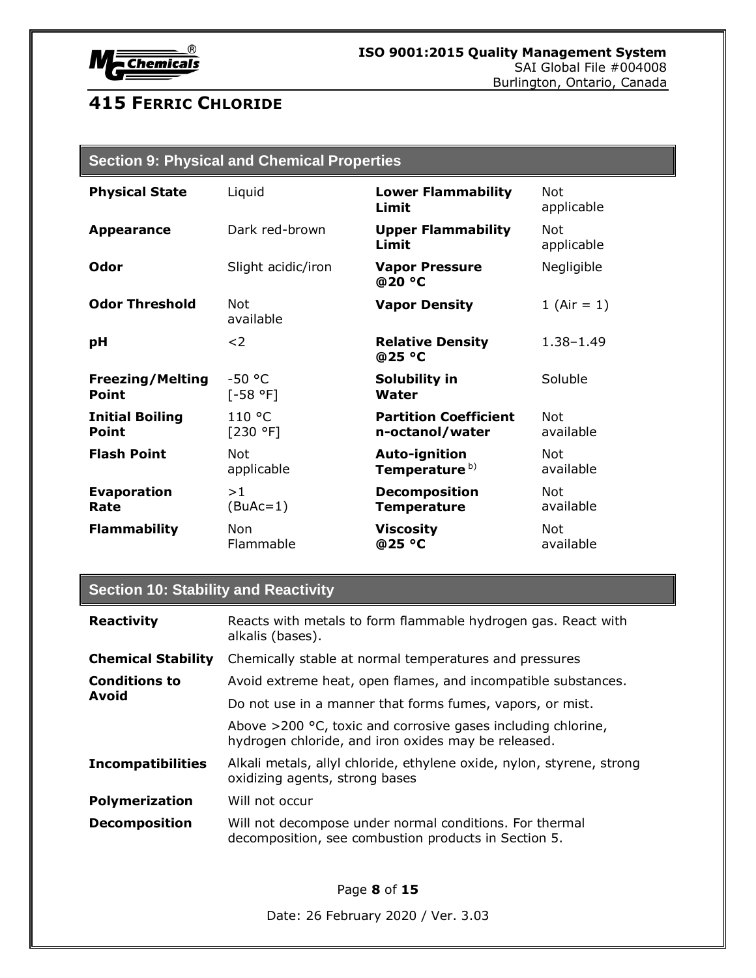

### **Section 9: Physical and Chemical Properties**

| <b>Physical State</b>   | Liquid             | <b>Lower Flammability</b><br>Limit | Not.<br>applicable |
|-------------------------|--------------------|------------------------------------|--------------------|
| <b>Appearance</b>       | Dark red-brown     | <b>Upper Flammability</b><br>Limit | Not.<br>applicable |
| Odor                    | Slight acidic/iron | <b>Vapor Pressure</b><br>@20 °C    | Negligible         |
| <b>Odor Threshold</b>   | Not<br>available   | <b>Vapor Density</b>               | 1 (Air = $1$ )     |
| рH                      | $<$ 2              | <b>Relative Density</b><br>@25 °C  | $1.38 - 1.49$      |
| <b>Freezing/Melting</b> | $-50$ °C           | Solubility in                      | Soluble            |
| <b>Point</b>            | $[-58 °F]$         | Water                              |                    |
| <b>Initial Boiling</b>  | 110 °C             | <b>Partition Coefficient</b>       | <b>Not</b>         |
| Point                   | [230 °F]           | n-octanol/water                    | available          |
| <b>Flash Point</b>      | <b>Not</b>         | Auto-ignition                      | Not                |
|                         | applicable         | Temperature <sup>b)</sup>          | available          |
| <b>Evaporation</b>      | >1                 | <b>Decomposition</b>               | <b>Not</b>         |
| Rate                    | $(BuAc=1)$         | <b>Temperature</b>                 | available          |
| <b>Flammability</b>     | <b>Non</b>         | <b>Viscosity</b>                   | <b>Not</b>         |
|                         | Flammable          | @25 °C                             | available          |

#### **Section 10: Stability and Reactivity**

| <b>Reactivity</b>                    | Reacts with metals to form flammable hydrogen gas. React with<br>alkalis (bases).                                      |
|--------------------------------------|------------------------------------------------------------------------------------------------------------------------|
| <b>Chemical Stability</b>            | Chemically stable at normal temperatures and pressures                                                                 |
| <b>Conditions to</b><br><b>Avoid</b> | Avoid extreme heat, open flames, and incompatible substances.                                                          |
|                                      | Do not use in a manner that forms fumes, vapors, or mist.                                                              |
|                                      | Above $>$ 200 °C, toxic and corrosive gases including chlorine,<br>hydrogen chloride, and iron oxides may be released. |
| <b>Incompatibilities</b>             | Alkali metals, allyl chloride, ethylene oxide, nylon, styrene, strong<br>oxidizing agents, strong bases                |
| <b>Polymerization</b>                | Will not occur                                                                                                         |
| <b>Decomposition</b>                 | Will not decompose under normal conditions. For thermal<br>decomposition, see combustion products in Section 5.        |
|                                      | D--- 0 - <del>- 1 F</del>                                                                                              |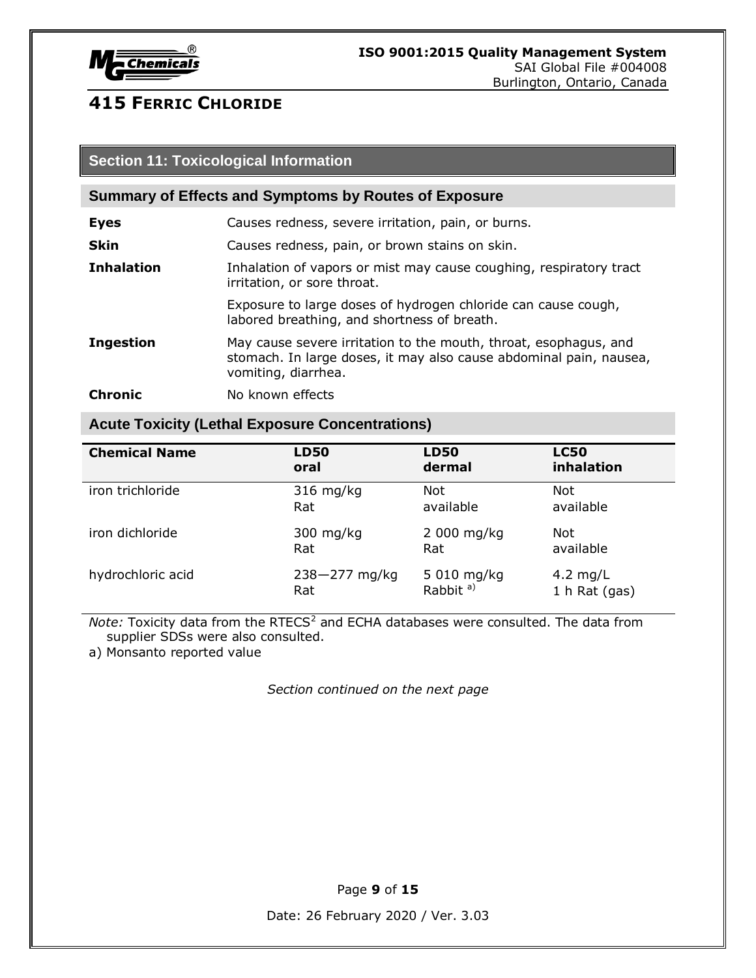

#### **Section 11: Toxicological Information**

#### **Summary of Effects and Symptoms by Routes of Exposure**

| <b>Eyes</b>       | Causes redness, severe irritation, pain, or burns.                                                                                                            |
|-------------------|---------------------------------------------------------------------------------------------------------------------------------------------------------------|
| <b>Skin</b>       | Causes redness, pain, or brown stains on skin.                                                                                                                |
| <b>Inhalation</b> | Inhalation of vapors or mist may cause coughing, respiratory tract<br>irritation, or sore throat.                                                             |
|                   | Exposure to large doses of hydrogen chloride can cause cough,<br>labored breathing, and shortness of breath.                                                  |
| <b>Ingestion</b>  | May cause severe irritation to the mouth, throat, esophagus, and<br>stomach. In large doses, it may also cause abdominal pain, nausea,<br>vomiting, diarrhea. |

**Chronic** No known effects

#### **Acute Toxicity (Lethal Exposure Concentrations)**

| <b>Chemical Name</b> | <b>LD50</b>       | <b>LD50</b>          | <b>LC50</b>     |
|----------------------|-------------------|----------------------|-----------------|
|                      | oral              | dermal               | inhalation      |
| iron trichloride     | $316$ mg/kg       | Not                  | <b>Not</b>      |
|                      | Rat               | available            | available       |
| iron dichloride      | 300 mg/kg         | 2 000 mg/kg          | Not             |
|                      | Rat               | Rat                  | available       |
| hydrochloric acid    | $238 - 277$ mg/kg | 5 010 mg/kg          | 4.2 mg/L        |
|                      | Rat               | Rabbit <sup>a)</sup> | 1 $h$ Rat (gas) |

*Note:* Toxicity data from the RTECS<sup>2</sup> and ECHA databases were consulted. The data from supplier SDSs were also consulted.

a) Monsanto reported value

*Section continued on the next page*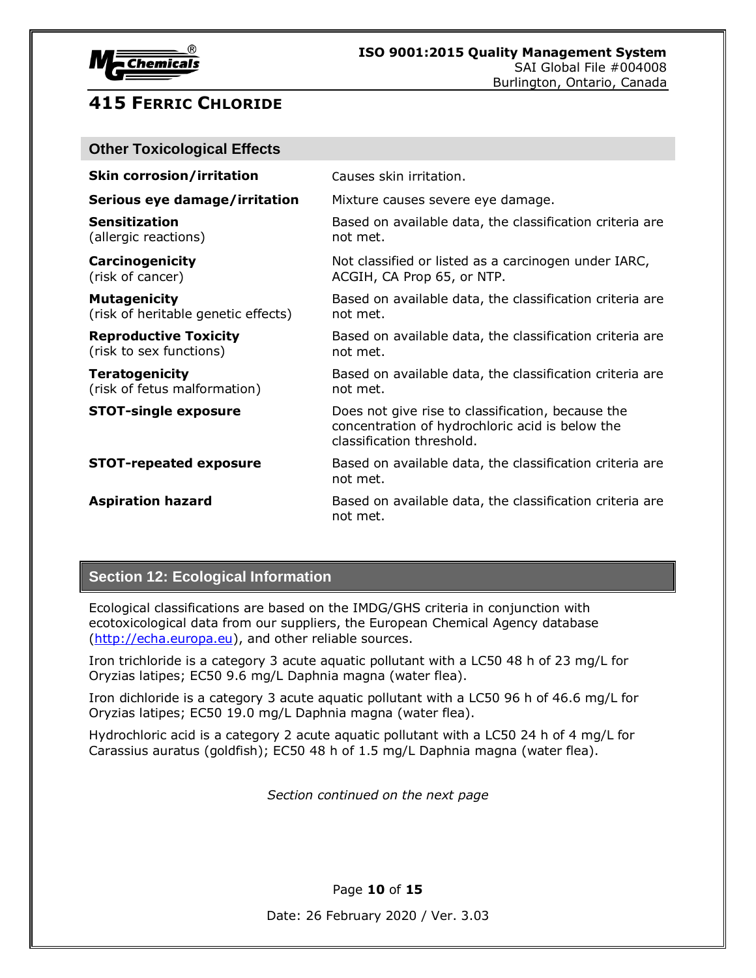

| <b>Other Toxicological Effects</b>                         |                                                                                                                                   |
|------------------------------------------------------------|-----------------------------------------------------------------------------------------------------------------------------------|
| <b>Skin corrosion/irritation</b>                           | Causes skin irritation.                                                                                                           |
| Serious eye damage/irritation                              | Mixture causes severe eye damage.                                                                                                 |
| <b>Sensitization</b><br>(allergic reactions)               | Based on available data, the classification criteria are<br>not met.                                                              |
| Carcinogenicity<br>(risk of cancer)                        | Not classified or listed as a carcinogen under IARC,<br>ACGIH, CA Prop 65, or NTP.                                                |
| <b>Mutagenicity</b><br>(risk of heritable genetic effects) | Based on available data, the classification criteria are<br>not met.                                                              |
| <b>Reproductive Toxicity</b><br>(risk to sex functions)    | Based on available data, the classification criteria are<br>not met.                                                              |
| <b>Teratogenicity</b><br>(risk of fetus malformation)      | Based on available data, the classification criteria are<br>not met.                                                              |
| <b>STOT-single exposure</b>                                | Does not give rise to classification, because the<br>concentration of hydrochloric acid is below the<br>classification threshold. |
| <b>STOT-repeated exposure</b>                              | Based on available data, the classification criteria are<br>not met.                                                              |
| <b>Aspiration hazard</b>                                   | Based on available data, the classification criteria are<br>not met.                                                              |

#### **Section 12: Ecological Information**

Ecological classifications are based on the IMDG/GHS criteria in conjunction with ecotoxicological data from our suppliers, the European Chemical Agency database [\(http://echa.europa.eu\)](http://echa.europa.eu/), and other reliable sources.

Iron trichloride is a category 3 acute aquatic pollutant with a LC50 48 h of 23 mg/L for Oryzias latipes; EC50 9.6 mg/L Daphnia magna (water flea).

Iron dichloride is a category 3 acute aquatic pollutant with a LC50 96 h of 46.6 mg/L for Oryzias latipes; EC50 19.0 mg/L Daphnia magna (water flea).

Hydrochloric acid is a category 2 acute aquatic pollutant with a LC50 24 h of 4 mg/L for Carassius auratus (goldfish); EC50 48 h of 1.5 mg/L Daphnia magna (water flea).

*Section continued on the next page*

Page **10** of **15**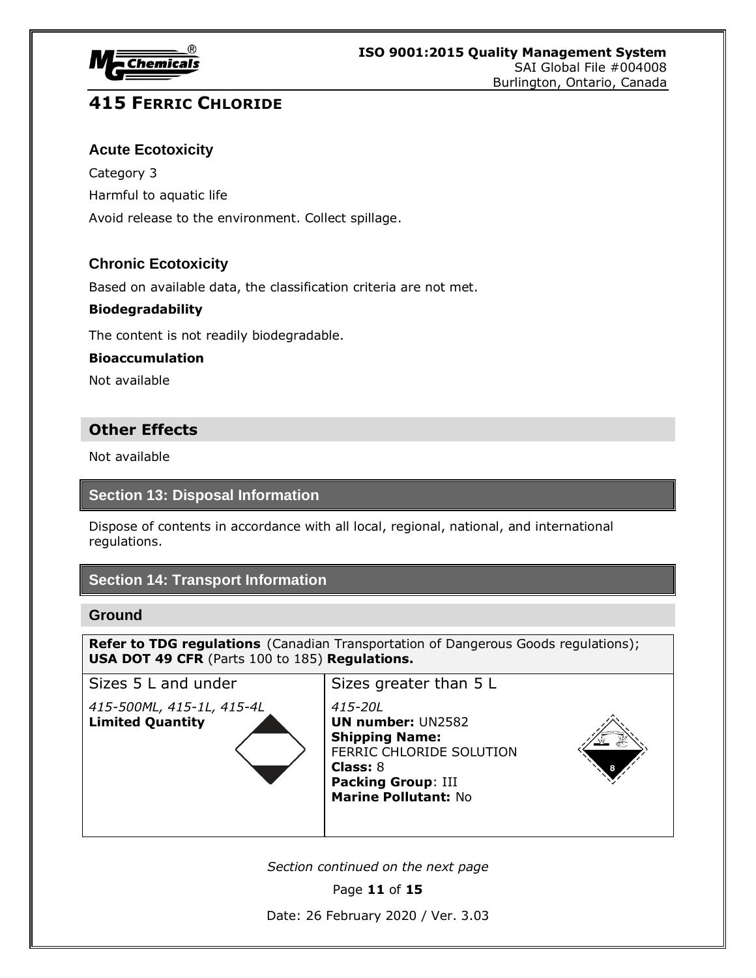

#### **Acute Ecotoxicity**

Category 3 Harmful to aquatic life Avoid release to the environment. Collect spillage.

#### **Chronic Ecotoxicity**

Based on available data, the classification criteria are not met.

#### **Biodegradability**

The content is not readily biodegradable.

#### **Bioaccumulation**

Not available

#### **Other Effects**

Not available

#### **Section 13: Disposal Information**

Dispose of contents in accordance with all local, regional, national, and international regulations.

#### **Section 14: Transport Information**

#### **Ground**

**Refer to TDG regulations** (Canadian Transportation of Dangerous Goods regulations); **USA DOT 49 CFR** (Parts 100 to 185) **Regulations.**

*415-500ML, 415-1L, 415-4L 415-20L* **Limited Quantity UN number:** UN2582



Sizes 5 L and under  $\vert$  Sizes greater than 5 L **Shipping Name:** FERRIC CHLORIDE SOLUTION **Class:** 8 **Packing Group**: III **Marine Pollutant:** No



*Section continued on the next page*

Page **11** of **15**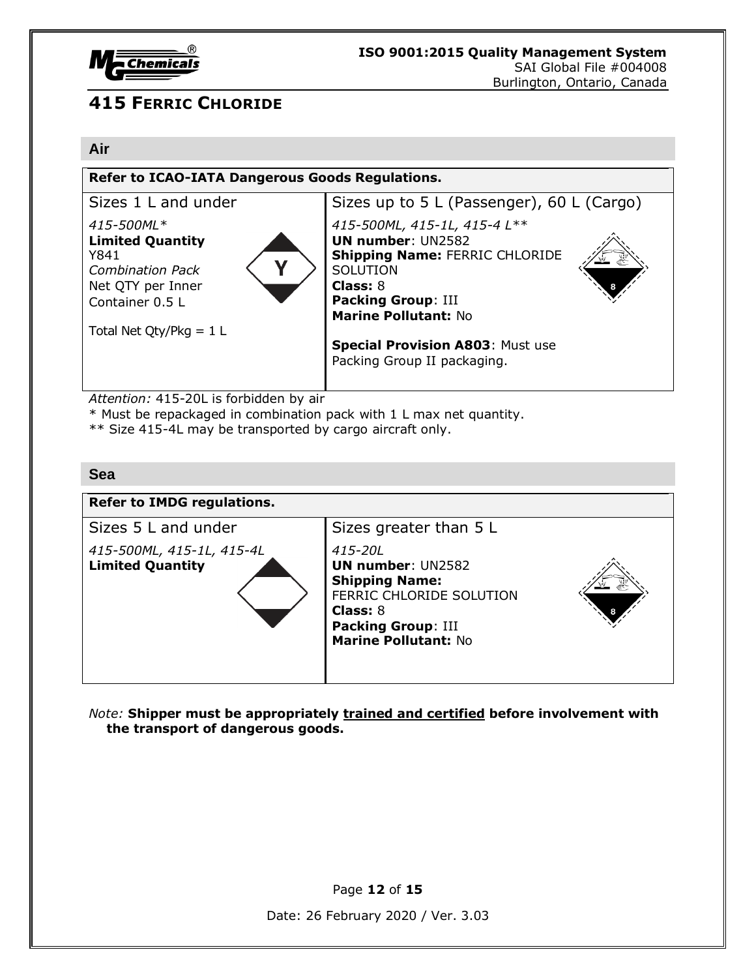

#### **Air**

| <b>Refer to ICAO-IATA Dangerous Goods Regulations.</b>                                                           |                                                                                                                                                                                              |  |
|------------------------------------------------------------------------------------------------------------------|----------------------------------------------------------------------------------------------------------------------------------------------------------------------------------------------|--|
| Sizes 1 L and under                                                                                              | Sizes up to 5 L (Passenger), 60 L (Cargo)                                                                                                                                                    |  |
| 415-500ML*<br><b>Limited Quantity</b><br>Y841<br><b>Combination Pack</b><br>Net QTY per Inner<br>Container 0.5 L | 415-500ML, 415-1L, 415-4 L**<br><b>UN number: UN2582</b><br><b>Shipping Name: FERRIC CHLORIDE</b><br>SOLUTION<br><b>Class: 8</b><br><b>Packing Group: III</b><br><b>Marine Pollutant: No</b> |  |
| Total Net Qty/Pkg = $1 L$                                                                                        |                                                                                                                                                                                              |  |
|                                                                                                                  | <b>Special Provision A803: Must use</b><br>Packing Group II packaging.                                                                                                                       |  |
|                                                                                                                  |                                                                                                                                                                                              |  |

*Attention:* 415-20L is forbidden by air

\* Must be repackaged in combination pack with 1 L max net quantity.

\*\* Size 415-4L may be transported by cargo aircraft only.

#### **Sea**

| <b>Refer to IMDG regulations.</b>                    |                                                                                                                                                                  |
|------------------------------------------------------|------------------------------------------------------------------------------------------------------------------------------------------------------------------|
| Sizes 5 L and under                                  | Sizes greater than 5 L                                                                                                                                           |
| 415-500ML, 415-1L, 415-4L<br><b>Limited Quantity</b> | 415-20L<br><b>UN number: UN2582</b><br><b>Shipping Name:</b><br>FERRIC CHLORIDE SOLUTION<br>Class: 8<br><b>Packing Group: III</b><br><b>Marine Pollutant: No</b> |

*Note:* **Shipper must be appropriately trained and certified before involvement with the transport of dangerous goods.**

Page **12** of **15**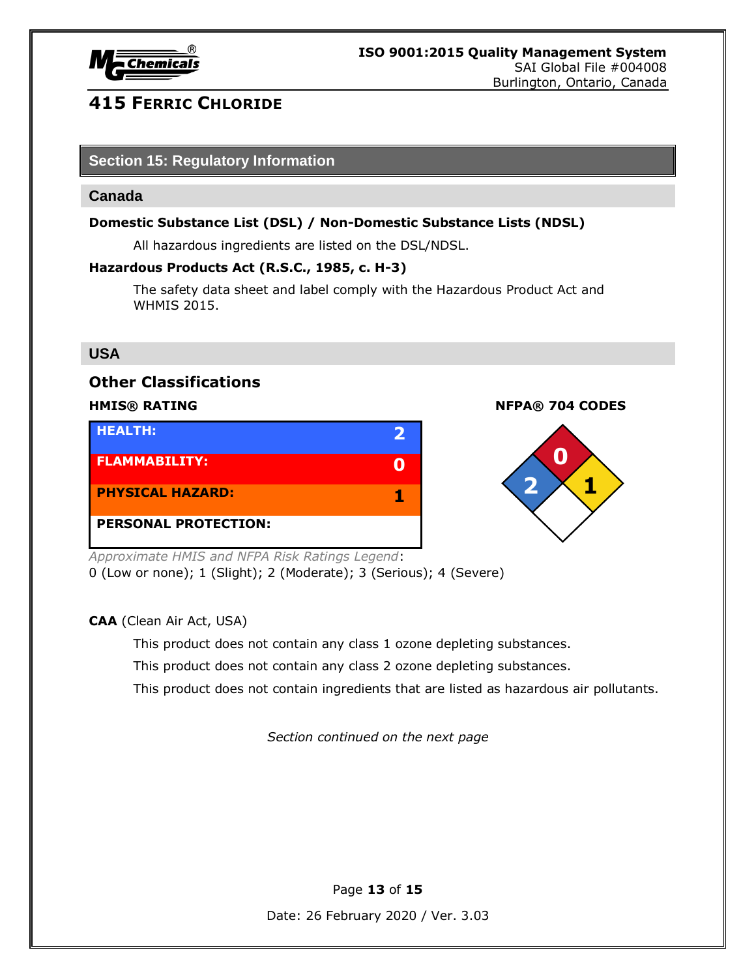

#### **Section 15: Regulatory Information**

#### **Canada**

#### **Domestic Substance List (DSL) / Non-Domestic Substance Lists (NDSL)**

All hazardous ingredients are listed on the DSL/NDSL.

#### **Hazardous Products Act (R.S.C., 1985, c. H-3)**

The safety data sheet and label comply with the Hazardous Product Act and WHMIS 2015.

#### **USA**

#### **Other Classifications**

| <b>HEALTH:</b>              |  |
|-----------------------------|--|
| <b>FLAMMABILITY:</b>        |  |
| <b>PHYSICAL HAZARD:</b>     |  |
| <b>PERSONAL PROTECTION:</b> |  |

#### **HMIS® RATING NFPA® 704 CODES**



*Approximate HMIS and NFPA Risk Ratings Legend*:

0 (Low or none); 1 (Slight); 2 (Moderate); 3 (Serious); 4 (Severe)

**CAA** (Clean Air Act, USA)

This product does not contain any class 1 ozone depleting substances.

This product does not contain any class 2 ozone depleting substances.

This product does not contain ingredients that are listed as hazardous air pollutants.

*Section continued on the next page*

Page **13** of **15**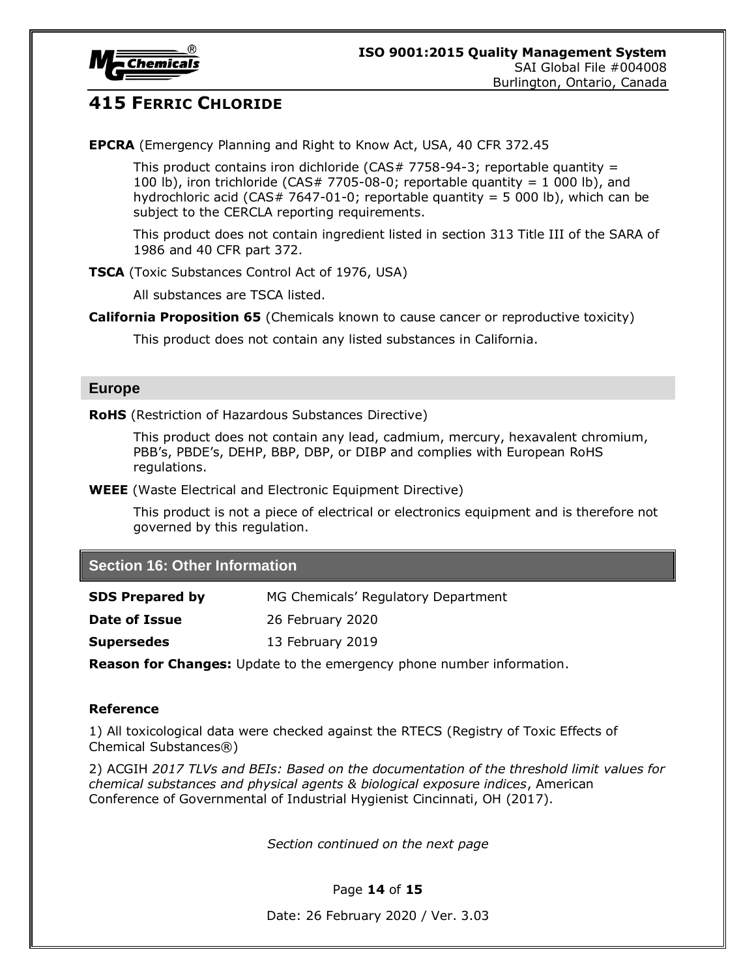

**EPCRA** (Emergency Planning and Right to Know Act, USA, 40 CFR 372.45

This product contains iron dichloride ( $CAS# 7758-94-3$ ; reportable quantity = 100 lb), iron trichloride (CAS# 7705-08-0; reportable quantity = 1 000 lb), and hydrochloric acid (CAS# 7647-01-0; reportable quantity = 5 000 lb), which can be subject to the CERCLA reporting requirements.

This product does not contain ingredient listed in section 313 Title III of the SARA of 1986 and 40 CFR part 372.

**TSCA** (Toxic Substances Control Act of 1976, USA)

All substances are TSCA listed.

**California Proposition 65** (Chemicals known to cause cancer or reproductive toxicity)

This product does not contain any listed substances in California.

#### **Europe**

**RoHS** (Restriction of Hazardous Substances Directive)

This product does not contain any lead, cadmium, mercury, hexavalent chromium, PBB's, PBDE's, DEHP, BBP, DBP, or DIBP and complies with European RoHS regulations.

**WEEE** (Waste Electrical and Electronic Equipment Directive)

This product is not a piece of electrical or electronics equipment and is therefore not governed by this regulation.

#### **Section 16: Other Information**

| <b>SDS Prepared by</b> | MG Chemicals' Regulatory Department |
|------------------------|-------------------------------------|
|                        |                                     |

**Date of Issue** 26 February 2020

**Supersedes** 13 February 2019

**Reason for Changes:** Update to the emergency phone number information.

#### **Reference**

1) All toxicological data were checked against the RTECS (Registry of Toxic Effects of Chemical Substances®)

2) ACGIH *2017 TLVs and BEIs: Based on the documentation of the threshold limit values for chemical substances and physical agents & biological exposure indices*, American Conference of Governmental of Industrial Hygienist Cincinnati, OH (2017).

*Section continued on the next page*

#### Page **14** of **15**